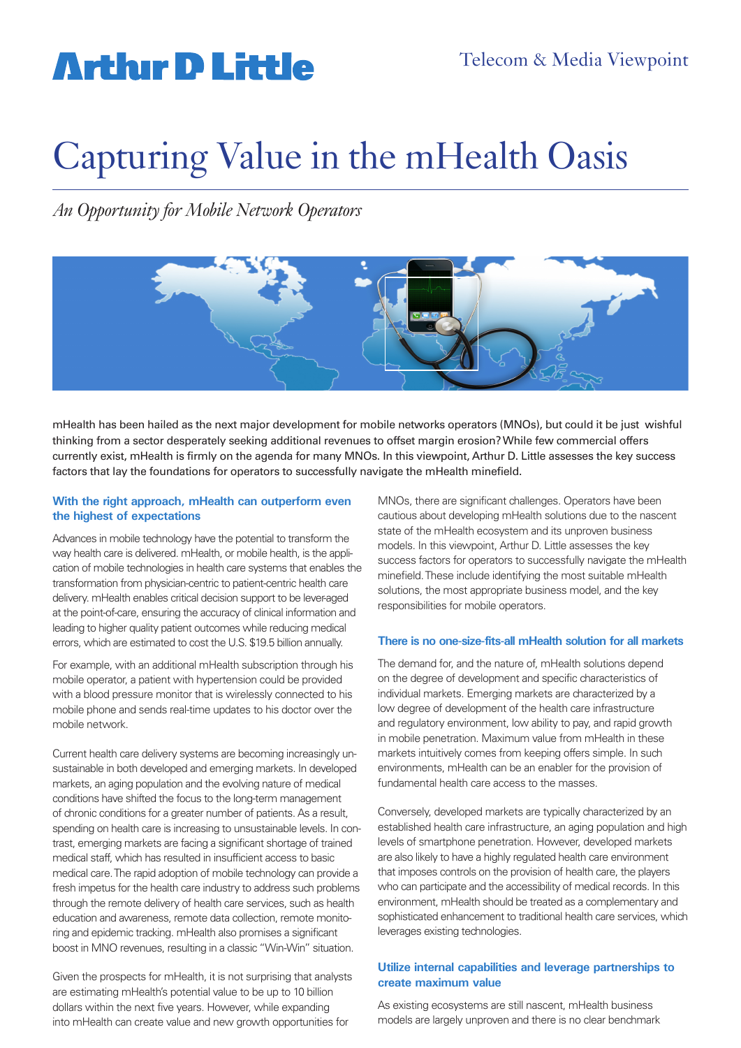## **Arthur D Little**

## Capturing Value in the mHealth Oasis

*An Opportunity for Mobile Network Operators* 



mHealth has been hailed as the next major development for mobile networks operators (MNOs), but could it be just wishful thinking from a sector desperately seeking additional revenues to offset margin erosion? While few commercial offers currently exist, mHealth is firmly on the agenda for many MNOs. In this viewpoint, Arthur D. Little assesses the key success factors that lay the foundations for operators to successfully navigate the mHealth minefield.

#### **With the right approach, mHealth can outperform even the highest of expectations**

Advances in mobile technology have the potential to transform the way health care is delivered. mHealth, or mobile health, is the application of mobile technologies in health care systems that enables the transformation from physician-centric to patient-centric health care delivery. mHealth enables critical decision support to be lever-aged at the point-of-care, ensuring the accuracy of clinical information and leading to higher quality patient outcomes while reducing medical errors, which are estimated to cost the U.S. \$19.5 billion annually.

For example, with an additional mHealth subscription through his mobile operator, a patient with hypertension could be provided with a blood pressure monitor that is wirelessly connected to his mobile phone and sends real-time updates to his doctor over the mobile network.

Current health care delivery systems are becoming increasingly unsustainable in both developed and emerging markets. In developed markets, an aging population and the evolving nature of medical conditions have shifted the focus to the long-term management of chronic conditions for a greater number of patients. As a result, spending on health care is increasing to unsustainable levels. In contrast, emerging markets are facing a significant shortage of trained medical staff, which has resulted in insufficient access to basic medical care. The rapid adoption of mobile technology can provide a fresh impetus for the health care industry to address such problems through the remote delivery of health care services, such as health education and awareness, remote data collection, remote monitoring and epidemic tracking. mHealth also promises a significant boost in MNO revenues, resulting in a classic "Win-Win" situation.

Given the prospects for mHealth, it is not surprising that analysts are estimating mHealth's potential value to be up to 10 billion dollars within the next five years. However, while expanding into mHealth can create value and new growth opportunities for

MNOs, there are significant challenges. Operators have been cautious about developing mHealth solutions due to the nascent state of the mHealth ecosystem and its unproven business models. In this viewpoint, Arthur D. Little assesses the key success factors for operators to successfully navigate the mHealth minefield. These include identifying the most suitable mHealth solutions, the most appropriate business model, and the key responsibilities for mobile operators.

#### **There is no one-size-fits-all mHealth solution for all markets**

The demand for, and the nature of, mHealth solutions depend on the degree of development and specific characteristics of individual markets. Emerging markets are characterized by a low degree of development of the health care infrastructure and regulatory environment, low ability to pay, and rapid growth in mobile penetration. Maximum value from mHealth in these markets intuitively comes from keeping offers simple. In such environments, mHealth can be an enabler for the provision of fundamental health care access to the masses.

Conversely, developed markets are typically characterized by an established health care infrastructure, an aging population and high levels of smartphone penetration. However, developed markets are also likely to have a highly regulated health care environment that imposes controls on the provision of health care, the players who can participate and the accessibility of medical records. In this environment, mHealth should be treated as a complementary and sophisticated enhancement to traditional health care services, which leverages existing technologies.

#### **Utilize internal capabilities and leverage partnerships to create maximum value**

As existing ecosystems are still nascent, mHealth business models are largely unproven and there is no clear benchmark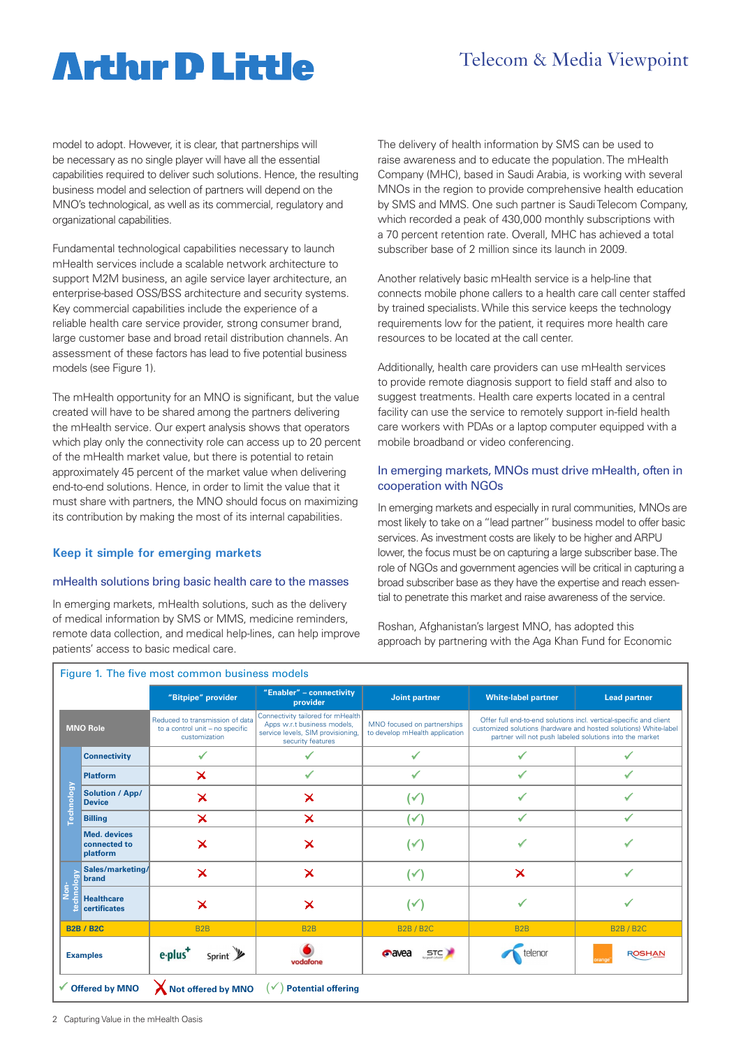### Telecom & Media Viewpoint

### **Artlur D Little**

model to adopt. However, it is clear, that partnerships will be necessary as no single player will have all the essential capabilities required to deliver such solutions. Hence, the resulting business model and selection of partners will depend on the MNO's technological, as well as its commercial, regulatory and organizational capabilities.

Fundamental technological capabilities necessary to launch mHealth services include a scalable network architecture to support M2M business, an agile service layer architecture, an enterprise-based OSS/BSS architecture and security systems. Key commercial capabilities include the experience of a reliable health care service provider, strong consumer brand, large customer base and broad retail distribution channels. An assessment of these factors has lead to five potential business models (see Figure 1).

The mHealth opportunity for an MNO is significant, but the value created will have to be shared among the partners delivering the mHealth service. Our expert analysis shows that operators which play only the connectivity role can access up to 20 percent of the mHealth market value, but there is potential to retain approximately 45 percent of the market value when delivering end-to-end solutions. Hence, in order to limit the value that it must share with partners, the MNO should focus on maximizing its contribution by making the most of its internal capabilities.

#### **Keep it simple for emerging markets**

#### mHealth solutions bring basic health care to the masses

In emerging markets, mHealth solutions, such as the delivery of medical information by SMS or MMS, medicine reminders, remote data collection, and medical help-lines, can help improve patients' access to basic medical care.

The delivery of health information by SMS can be used to raise awareness and to educate the population. The mHealth Company (MHC), based in Saudi Arabia, is working with several MNOs in the region to provide comprehensive health education by SMS and MMS. One such partner is Saudi Telecom Company, which recorded a peak of 430,000 monthly subscriptions with a 70 percent retention rate. Overall, MHC has achieved a total subscriber base of 2 million since its launch in 2009.

Another relatively basic mHealth service is a help-line that connects mobile phone callers to a health care call center staffed by trained specialists. While this service keeps the technology requirements low for the patient, it requires more health care resources to be located at the call center.

Additionally, health care providers can use mHealth services to provide remote diagnosis support to field staff and also to suggest treatments. Health care experts located in a central facility can use the service to remotely support in-field health care workers with PDAs or a laptop computer equipped with a mobile broadband or video conferencing.

#### In emerging markets, MNOs must drive mHealth, often in cooperation with NGOs

In emerging markets and especially in rural communities, MNOs are most likely to take on a "lead partner" business model to offer basic services. As investment costs are likely to be higher and ARPU lower, the focus must be on capturing a large subscriber base. The role of NGOs and government agencies will be critical in capturing a broad subscriber base as they have the expertise and reach essential to penetrate this market and raise awareness of the service.

Roshan, Afghanistan's largest MNO, has adopted this approach by partnering with the Aga Khan Fund for Economic

|                   |                                                 | "Bitpipe" provider                                                                  | "Enabler" - connectivity<br>provider                                                                                       | <b>Joint partner</b>                                          | <b>White-label partner</b>                                                                                                                                                                        | <b>Lead partner</b> |
|-------------------|-------------------------------------------------|-------------------------------------------------------------------------------------|----------------------------------------------------------------------------------------------------------------------------|---------------------------------------------------------------|---------------------------------------------------------------------------------------------------------------------------------------------------------------------------------------------------|---------------------|
| <b>MNO Role</b>   |                                                 | Reduced to transmission of data<br>to a control unit - no specific<br>customization | Connectivity tailored for mHealth<br>Apps w.r.t business models,<br>service levels, SIM provisioning,<br>security features | MNO focused on partnerships<br>to develop mHealth application | Offer full end-to-end solutions incl. vertical-specific and client<br>customized solutions (hardware and hosted solutions) White-label<br>partner will not push labeled solutions into the market |                     |
| <b>Technology</b> | <b>Connectivity</b>                             |                                                                                     |                                                                                                                            |                                                               |                                                                                                                                                                                                   |                     |
|                   | <b>Platform</b>                                 | $\boldsymbol{\times}$                                                               | ✓                                                                                                                          | ✔                                                             |                                                                                                                                                                                                   |                     |
|                   | <b>Solution / App/</b><br><b>Device</b>         | $\boldsymbol{\times}$                                                               | $\boldsymbol{\times}$                                                                                                      | (✓                                                            |                                                                                                                                                                                                   |                     |
|                   | <b>Billing</b>                                  | $\overline{\mathsf{x}}$                                                             | $\overline{\mathsf{x}}$                                                                                                    | (✔                                                            | $\checkmark$                                                                                                                                                                                      | $\checkmark$        |
|                   | <b>Med.</b> devices<br>connected to<br>platform | $\bm{\times}$                                                                       | ×                                                                                                                          | (✓                                                            |                                                                                                                                                                                                   |                     |
| vopouri<br>Ġ,     | Sales/marketing/<br>brand                       | $\bm{\times}$                                                                       | $\bm{\times}$                                                                                                              | $(\checkmark)$                                                | $\bm{\times}$                                                                                                                                                                                     |                     |
|                   | <b>Healthcare</b><br>certificates               | $\boldsymbol{\times}$                                                               | $\boldsymbol{\times}$                                                                                                      | (✓                                                            |                                                                                                                                                                                                   |                     |
| <b>B2B / B2C</b>  |                                                 | B <sub>2</sub> B                                                                    | B <sub>2</sub> B                                                                                                           | <b>B2B/B2C</b>                                                | B <sub>2</sub> B                                                                                                                                                                                  | <b>B2B/B2C</b>      |
| <b>Examples</b>   |                                                 | Sprint y<br>e-plus <sup>+</sup>                                                     | vodafone                                                                                                                   | <b>P</b> avea<br><b>STC</b>                                   | telenor                                                                                                                                                                                           | <b>ROSHAN</b>       |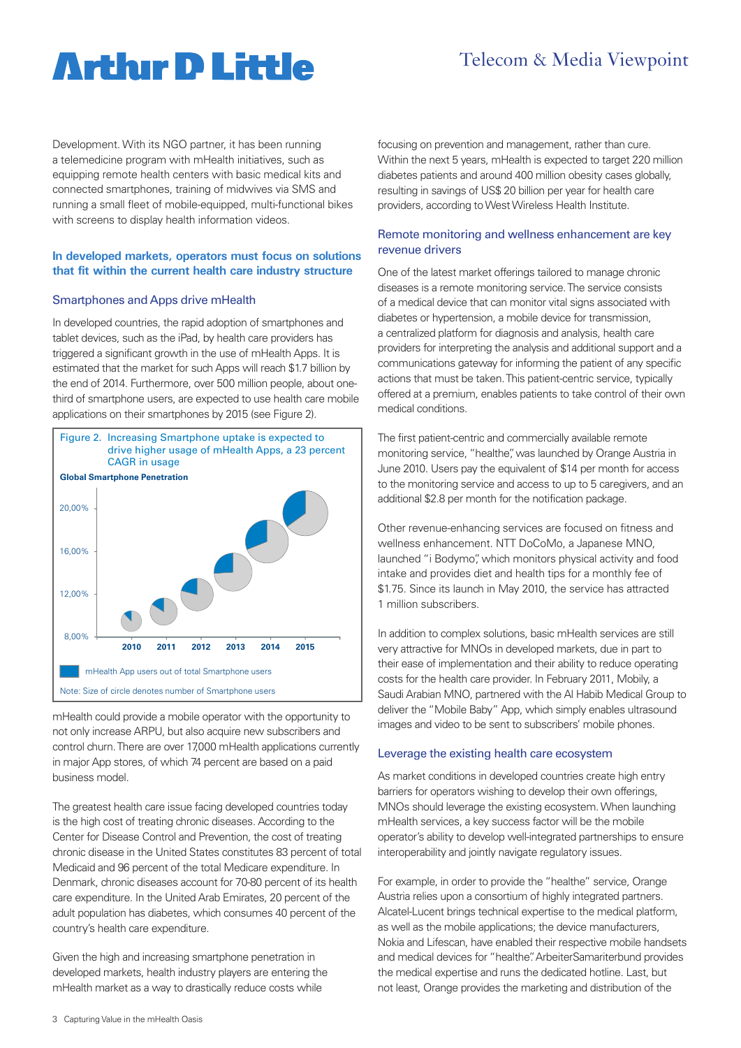### Telecom & Media Viewpoint

### **Artlur D Little**

Development. With its NGO partner, it has been running a telemedicine program with mHealth initiatives, such as equipping remote health centers with basic medical kits and connected smartphones, training of midwives via SMS and running a small fleet of mobile-equipped, multi-functional bikes with screens to display health information videos.

#### **In developed markets, operators must focus on solutions that fit within the current health care industry structure**

#### Smartphones and Apps drive mHealth

In developed countries, the rapid adoption of smartphones and tablet devices, such as the iPad, by health care providers has triggered a significant growth in the use of mHealth Apps. It is estimated that the market for such Apps will reach \$1.7 billion by the end of 2014. Furthermore, over 500 million people, about onethird of smartphone users, are expected to use health care mobile applications on their smartphones by 2015 (see Figure 2).



mHealth could provide a mobile operator with the opportunity to not only increase ARPU, but also acquire new subscribers and control churn. There are over 17,000 mHealth applications currently in major App stores, of which 74 percent are based on a paid business model.

The greatest health care issue facing developed countries today is the high cost of treating chronic diseases. According to the Center for Disease Control and Prevention, the cost of treating chronic disease in the United States constitutes 83 percent of total Medicaid and 96 percent of the total Medicare expenditure. In Denmark, chronic diseases account for 70-80 percent of its health care expenditure. In the United Arab Emirates, 20 percent of the adult population has diabetes, which consumes 40 percent of the country's health care expenditure.

Given the high and increasing smartphone penetration in developed markets, health industry players are entering the mHealth market as a way to drastically reduce costs while

focusing on prevention and management, rather than cure. Within the next 5 years, mHealth is expected to target 220 million diabetes patients and around 400 million obesity cases globally, resulting in savings of US\$ 20 billion per year for health care providers, according to West Wireless Health Institute.

#### Remote monitoring and wellness enhancement are key revenue drivers

One of the latest market offerings tailored to manage chronic diseases is a remote monitoring service. The service consists of a medical device that can monitor vital signs associated with diabetes or hypertension, a mobile device for transmission, a centralized platform for diagnosis and analysis, health care providers for interpreting the analysis and additional support and a communications gateway for informing the patient of any specific actions that must be taken. This patient-centric service, typically offered at a premium, enables patients to take control of their own medical conditions.

The first patient-centric and commercially available remote monitoring service, "healthe", was launched by Orange Austria in June 2010. Users pay the equivalent of \$14 per month for access to the monitoring service and access to up to 5 caregivers, and an additional \$2.8 per month for the notification package.

Other revenue-enhancing services are focused on fitness and wellness enhancement. NTT DoCoMo, a Japanese MNO, launched "i Bodymo", which monitors physical activity and food intake and provides diet and health tips for a monthly fee of \$1.75. Since its launch in May 2010, the service has attracted 1 million subscribers.

In addition to complex solutions, basic mHealth services are still very attractive for MNOs in developed markets, due in part to their ease of implementation and their ability to reduce operating costs for the health care provider. In February 2011, Mobily, a Saudi Arabian MNO, partnered with the Al Habib Medical Group to deliver the "Mobile Baby" App, which simply enables ultrasound images and video to be sent to subscribers' mobile phones.

#### Leverage the existing health care ecosystem

As market conditions in developed countries create high entry barriers for operators wishing to develop their own offerings, MNOs should leverage the existing ecosystem. When launching mHealth services, a key success factor will be the mobile operator's ability to develop well-integrated partnerships to ensure interoperability and jointly navigate regulatory issues.

For example, in order to provide the "healthe" service, Orange Austria relies upon a consortium of highly integrated partners. Alcatel-Lucent brings technical expertise to the medical platform, as well as the mobile applications; the device manufacturers, Nokia and Lifescan, have enabled their respective mobile handsets and medical devices for "healthe". ArbeiterSamariterbund provides the medical expertise and runs the dedicated hotline. Last, but not least, Orange provides the marketing and distribution of the